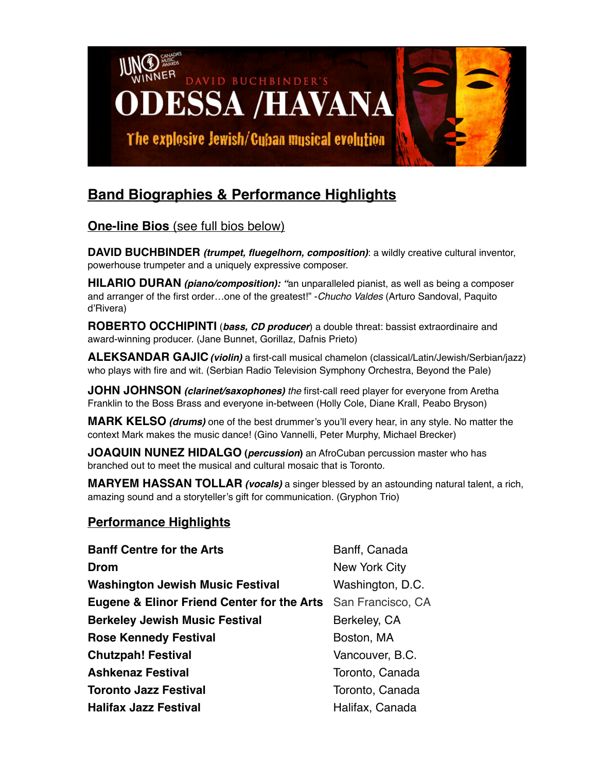

## **Band Biographies & Performance Highlights**

## **One-line Bios** (see full bios below)

**DAVID BUCHBINDER** *(trumpet, fluegelhorn, composition)*: a wildly creative cultural inventor, powerhouse trumpeter and a uniquely expressive composer.

**HILARIO DURAN** *(piano/composition): "*an unparalleled pianist, as well as being a composer and arranger of the first order…one of the greatest!" -*Chucho Valdes* (Arturo Sandoval, Paquito d'Rivera)

**ROBERTO OCCHIPINTI** (*bass, CD producer*) a double threat: bassist extraordinaire and award-winning producer. (Jane Bunnet, Gorillaz, Dafnis Prieto)

**ALEKSANDAR GAJIC***(violin)* a first-call musical chamelon (classical/Latin/Jewish/Serbian/jazz) who plays with fire and wit. (Serbian Radio Television Symphony Orchestra, Beyond the Pale)

**JOHN JOHNSON** *(clarinet/saxophones) the* first-call reed player for everyone from Aretha Franklin to the Boss Brass and everyone in-between (Holly Cole, Diane Krall, Peabo Bryson)

**MARK KELSO** *(drums)* one of the best drummer's you'll every hear, in any style. No matter the context Mark makes the music dance! (Gino Vannelli, Peter Murphy, Michael Brecker)

**JOAQUIN NUNEZ HIDALGO (***percussion***)** an AfroCuban percussion master who has branched out to meet the musical and cultural mosaic that is Toronto.

**MARYEM HASSAN TOLLAR** *(vocals)* a singer blessed by an astounding natural talent, a rich, amazing sound and a storyteller's gift for communication. (Gryphon Trio)

## **Performance Highlights**

| <b>Banff Centre for the Arts</b>                                        | Banff, Canada    |
|-------------------------------------------------------------------------|------------------|
| Drom                                                                    | New York City    |
| <b>Washington Jewish Music Festival</b>                                 | Washington, D.C. |
| <b>Eugene &amp; Elinor Friend Center for the Arts</b> San Francisco, CA |                  |
| <b>Berkeley Jewish Music Festival</b>                                   | Berkeley, CA     |
| <b>Rose Kennedy Festival</b>                                            | Boston, MA       |
| <b>Chutzpah! Festival</b>                                               | Vancouver, B.C.  |
| <b>Ashkenaz Festival</b>                                                | Toronto, Canada  |
| <b>Toronto Jazz Festival</b>                                            | Toronto, Canada  |
| <b>Halifax Jazz Festival</b>                                            | Halifax, Canada  |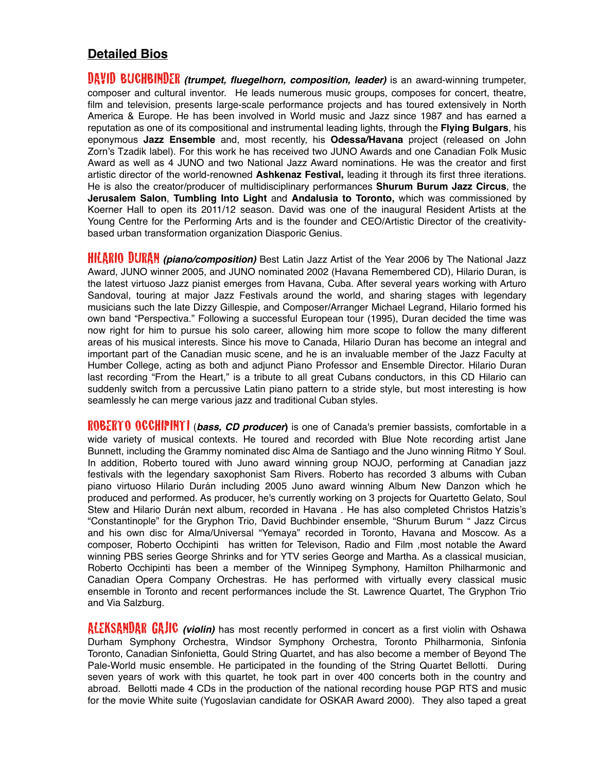## **Detailed Bios**

**DAVID BUCHBINDER** *(trumpet, fluegelhorn, composition, leader)* is an award-winning trumpeter, composer and cultural inventor. He leads numerous music groups, composes for concert, theatre, film and television, presents large-scale performance projects and has toured extensively in North America & Europe. He has been involved in World music and Jazz since 1987 and has earned a reputation as one of its compositional and instrumental leading lights, through the **Flying Bulgars**, his eponymous **Jazz Ensemble** and, most recently, his **Odessa/Havana** project (released on John Zorn's Tzadik label). For this work he has received two JUNO Awards and one Canadian Folk Music Award as well as 4 JUNO and two National Jazz Award nominations. He was the creator and first artistic director of the world-renowned **Ashkenaz Festival,** leading it through its first three iterations. He is also the creator/producer of multidisciplinary performances **Shurum Burum Jazz Circus**, the **Jerusalem Salon**, **Tumbling Into Light** and **Andalusia to Toronto,** which was commissioned by Koerner Hall to open its 2011/12 season. David was one of the inaugural Resident Artists at the Young Centre for the Performing Arts and is the founder and CEO/Artistic Director of the creativitybased urban transformation organization Diasporic Genius.

**HILARIO DURAN** *(piano/composition)* Best Latin Jazz Artist of the Year 2006 by The National Jazz Award, JUNO winner 2005, and JUNO nominated 2002 (Havana Remembered CD), Hilario Duran, is the latest virtuoso Jazz pianist emerges from Havana, Cuba. After several years working with Arturo Sandoval, touring at major Jazz Festivals around the world, and sharing stages with legendary musicians such the late Dizzy Gillespie, and Composer/Arranger Michael Legrand, Hilario formed his own band "Perspectiva." Following a successful European tour (1995), Duran decided the time was now right for him to pursue his solo career, allowing him more scope to follow the many different areas of his musical interests. Since his move to Canada, Hilario Duran has become an integral and important part of the Canadian music scene, and he is an invaluable member of the Jazz Faculty at Humber College, acting as both and adjunct Piano Professor and Ensemble Director. Hilario Duran last recording "From the Heart," is a tribute to all great Cubans conductors, in this CD Hilario can suddenly switch from a percussive Latin piano pattern to a stride style, but most interesting is how seamlessly he can merge various jazz and traditional Cuban styles.

ROBERTO OCCHIPINTI (*bass, CD producer***)** is one of Canada's premier bassists, comfortable in a wide variety of musical contexts. He toured and recorded with Blue Note recording artist Jane Bunnett, including the Grammy nominated disc Alma de Santiago and the Juno winning Ritmo Y Soul. In addition, Roberto toured with Juno award winning group NOJO, performing at Canadian jazz festivals with the legendary saxophonist Sam Rivers. Roberto has recorded 3 albums with Cuban piano virtuoso Hilario Durán including 2005 Juno award winning Album New Danzon which he produced and performed. As producer, he's currently working on 3 projects for Quartetto Gelato, Soul Stew and Hilario Durán next album, recorded in Havana . He has also completed Christos Hatzis's "Constantinople" for the Gryphon Trio, David Buchbinder ensemble, "Shurum Burum " Jazz Circus and his own disc for Alma/Universal "Yemaya" recorded in Toronto, Havana and Moscow. As a composer, Roberto Occhipinti has written for Televison, Radio and Film ,most notable the Award winning PBS series George Shrinks and for YTV series George and Martha. As a classical musician, Roberto Occhipinti has been a member of the Winnipeg Symphony, Hamilton Philharmonic and Canadian Opera Company Orchestras. He has performed with virtually every classical music ensemble in Toronto and recent performances include the St. Lawrence Quartet, The Gryphon Trio and Via Salzburg.

ALEKSANDAR GAJIC *(violin)* has most recently performed in concert as a first violin with Oshawa Durham Symphony Orchestra, Windsor Symphony Orchestra, Toronto Philharmonia, Sinfonia Toronto, Canadian Sinfonietta, Gould String Quartet, and has also become a member of Beyond The Pale-World music ensemble. He participated in the founding of the String Quartet Bellotti. During seven years of work with this quartet, he took part in over 400 concerts both in the country and abroad. Bellotti made 4 CDs in the production of the national recording house PGP RTS and music for the movie White suite (Yugoslavian candidate for OSKAR Award 2000). They also taped a great